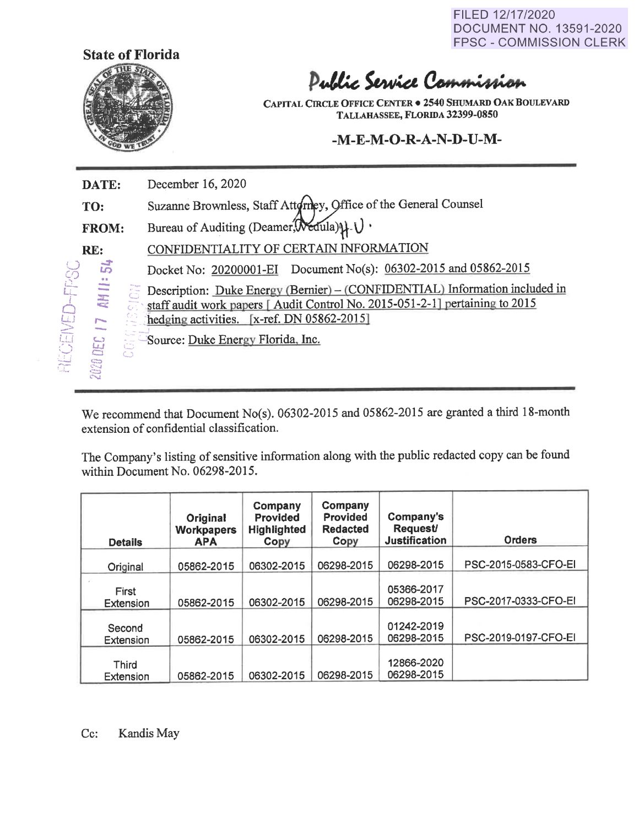FILED 12/17/2020 DOCUMENT NO. 13591 -2020 FPSC - COMMISSION CLERK



# Public Service Commission

**CAPITAL CIRCLE OFFICE CENTER• 2540 SHUMARD OAK BOULEVARD TALLAHASSEE, FLORIDA 32399-0850** 

**-M-E-M-0-R-A-N-D-U-M-**

FPSC I **AECENED DATE: TO: FROM: RE: HILL:** 54 December 16, 2020 Suzanne Brownless, Staff Attoringy, Office of the General Counsel Bureau of Auditing (Deamer,  $\mathcal{N}$ edula) $\downarrow$   $\downarrow$ CONFIDENTIALITY OF CERTAIN INFORMATION Docket No: 20200001-EI Document No(s): 06302-2015 and 05862-2015 **:z: q**   $\overline{a}$ r Description: Duke Energy (Bernier) – (CONFIDENTIAL) Information included in staff audit work papers [ Audit Control No. 2015-051-2-1] pertaining to 2015 hedging activities. [x-ref. DN 05862-2015] **FORDED 17** , -<br>1 us:<br>S õ Source: Duke Energy Florida, Inc.

We recommend that Document No(s). 06302-2015 and 05862-2015 are granted a third 18-month extension of confidential classification.

The Company's listing of sensitive information along with the public redacted copy can be found within Document No. 06298-2015.

| <b>Details</b>      | Original<br><b>Workpapers</b><br><b>APA</b> | Company<br><b>Provided</b><br><b>Highlighted</b><br>Copy | Company<br>Provided<br><b>Redacted</b><br>Copy | Company's<br><b>Request/</b><br><b>Justification</b> | <b>Orders</b>        |
|---------------------|---------------------------------------------|----------------------------------------------------------|------------------------------------------------|------------------------------------------------------|----------------------|
| Original            | 05862-2015                                  | 06302-2015                                               | 06298-2015                                     | 06298-2015                                           | PSC-2015-0583-CFO-EI |
| First<br>Extension  | 05862-2015                                  | 06302-2015                                               | 06298-2015                                     | 05366-2017<br>06298-2015                             | PSC-2017-0333-CFO-EI |
| Second<br>Extension | 05862-2015                                  | 06302-2015                                               | 06298-2015                                     | 01242-2019<br>06298-2015                             | PSC-2019-0197-CFO-EI |
| Third<br>Extension  | 05862-2015                                  | 06302-2015                                               | 06298-2015                                     | 12866-2020<br>06298-2015                             |                      |